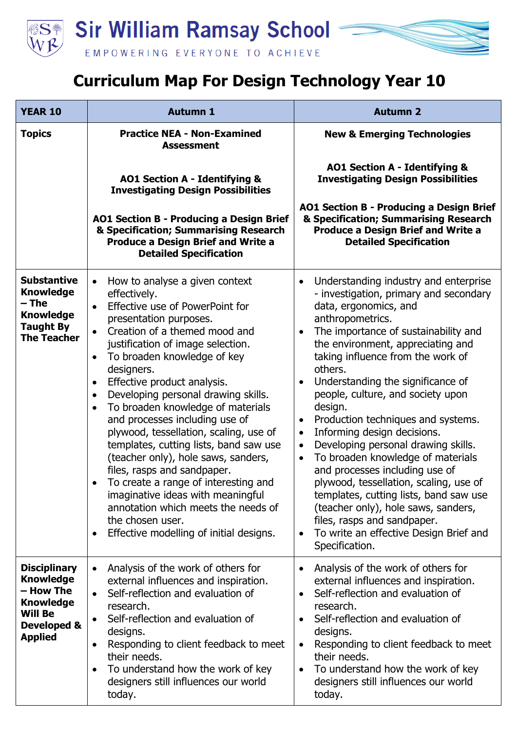

## **Curriculum Map For Design Technology Year 10**

| <b>YEAR 10</b>                                                                                                              | <b>Autumn 1</b>                                                                                                                                                                                                                                                                                                                                                                                                                                                                                                                                                                                                                                                                                                                                                                                                     | <b>Autumn 2</b>                                                                                                                                                                                                                                                                                                                                                                                                                                                                                                                                                                                                                                                                                                                                                                                                                                    |
|-----------------------------------------------------------------------------------------------------------------------------|---------------------------------------------------------------------------------------------------------------------------------------------------------------------------------------------------------------------------------------------------------------------------------------------------------------------------------------------------------------------------------------------------------------------------------------------------------------------------------------------------------------------------------------------------------------------------------------------------------------------------------------------------------------------------------------------------------------------------------------------------------------------------------------------------------------------|----------------------------------------------------------------------------------------------------------------------------------------------------------------------------------------------------------------------------------------------------------------------------------------------------------------------------------------------------------------------------------------------------------------------------------------------------------------------------------------------------------------------------------------------------------------------------------------------------------------------------------------------------------------------------------------------------------------------------------------------------------------------------------------------------------------------------------------------------|
| <b>Topics</b>                                                                                                               | <b>Practice NEA - Non-Examined</b><br><b>Assessment</b>                                                                                                                                                                                                                                                                                                                                                                                                                                                                                                                                                                                                                                                                                                                                                             | <b>New &amp; Emerging Technologies</b>                                                                                                                                                                                                                                                                                                                                                                                                                                                                                                                                                                                                                                                                                                                                                                                                             |
|                                                                                                                             | <b>AO1 Section A - Identifying &amp;</b><br><b>Investigating Design Possibilities</b>                                                                                                                                                                                                                                                                                                                                                                                                                                                                                                                                                                                                                                                                                                                               | <b>AO1 Section A - Identifying &amp;</b><br><b>Investigating Design Possibilities</b>                                                                                                                                                                                                                                                                                                                                                                                                                                                                                                                                                                                                                                                                                                                                                              |
|                                                                                                                             | <b>AO1 Section B - Producing a Design Brief</b><br>& Specification; Summarising Research<br><b>Produce a Design Brief and Write a</b><br><b>Detailed Specification</b>                                                                                                                                                                                                                                                                                                                                                                                                                                                                                                                                                                                                                                              | AO1 Section B - Producing a Design Brief<br>& Specification; Summarising Research<br><b>Produce a Design Brief and Write a</b><br><b>Detailed Specification</b>                                                                                                                                                                                                                                                                                                                                                                                                                                                                                                                                                                                                                                                                                    |
| <b>Substantive</b><br><b>Knowledge</b><br>– The<br><b>Knowledge</b><br><b>Taught By</b><br><b>The Teacher</b>               | How to analyse a given context<br>$\bullet$<br>effectively.<br>Effective use of PowerPoint for<br>$\bullet$<br>presentation purposes.<br>Creation of a themed mood and<br>$\bullet$<br>justification of image selection.<br>To broaden knowledge of key<br>$\bullet$<br>designers.<br>Effective product analysis.<br>$\bullet$<br>Developing personal drawing skills.<br>$\bullet$<br>To broaden knowledge of materials<br>$\bullet$<br>and processes including use of<br>plywood, tessellation, scaling, use of<br>templates, cutting lists, band saw use<br>(teacher only), hole saws, sanders,<br>files, rasps and sandpaper.<br>To create a range of interesting and<br>imaginative ideas with meaningful<br>annotation which meets the needs of<br>the chosen user.<br>Effective modelling of initial designs. | Understanding industry and enterprise<br>$\bullet$<br>- investigation, primary and secondary<br>data, ergonomics, and<br>anthropometrics.<br>The importance of sustainability and<br>$\bullet$<br>the environment, appreciating and<br>taking influence from the work of<br>others.<br>Understanding the significance of<br>people, culture, and society upon<br>design.<br>Production techniques and systems.<br>$\bullet$<br>Informing design decisions.<br>$\bullet$<br>Developing personal drawing skills.<br>$\bullet$<br>To broaden knowledge of materials<br>$\bullet$<br>and processes including use of<br>plywood, tessellation, scaling, use of<br>templates, cutting lists, band saw use<br>(teacher only), hole saws, sanders,<br>files, rasps and sandpaper.<br>To write an effective Design Brief and<br>$\bullet$<br>Specification. |
| <b>Disciplinary</b><br><b>Knowledge</b><br>– How The<br><b>Knowledge</b><br><b>Will Be</b><br>Developed &<br><b>Applied</b> | Analysis of the work of others for<br>external influences and inspiration.<br>Self-reflection and evaluation of<br>$\bullet$<br>research.<br>Self-reflection and evaluation of<br>$\bullet$<br>designs.<br>Responding to client feedback to meet<br>$\bullet$<br>their needs.<br>To understand how the work of key<br>$\bullet$<br>designers still influences our world<br>today.                                                                                                                                                                                                                                                                                                                                                                                                                                   | Analysis of the work of others for<br>external influences and inspiration.<br>Self-reflection and evaluation of<br>$\bullet$<br>research.<br>Self-reflection and evaluation of<br>$\bullet$<br>designs.<br>Responding to client feedback to meet<br>$\bullet$<br>their needs.<br>To understand how the work of key<br>$\bullet$<br>designers still influences our world<br>today.                                                                                                                                                                                                                                                                                                                                                                                                                                                                  |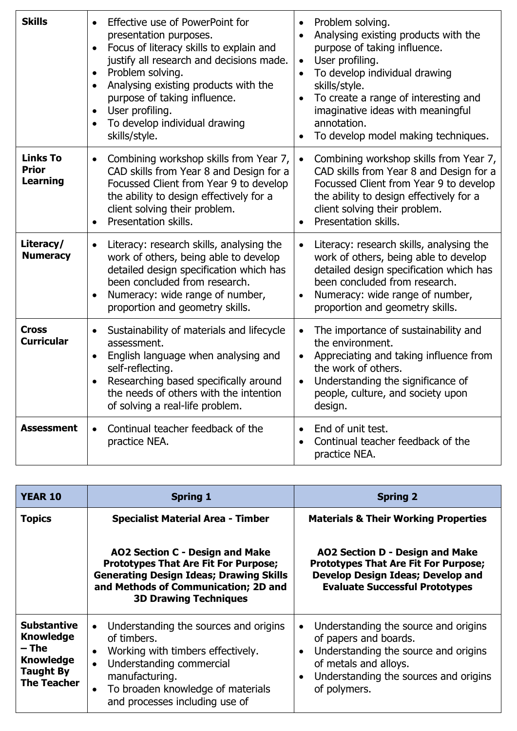| <b>Skills</b>                                      | Effective use of PowerPoint for<br>presentation purposes.<br>Focus of literacy skills to explain and<br>$\bullet$<br>justify all research and decisions made.<br>Problem solving.<br>$\bullet$<br>Analysing existing products with the<br>$\bullet$<br>purpose of taking influence.<br>User profiling.<br>$\bullet$<br>To develop individual drawing<br>skills/style. | Problem solving.<br>$\bullet$<br>Analysing existing products with the<br>$\bullet$<br>purpose of taking influence.<br>User profiling.<br>$\bullet$<br>To develop individual drawing<br>skills/style.<br>To create a range of interesting and<br>imaginative ideas with meaningful<br>annotation.<br>To develop model making techniques. |
|----------------------------------------------------|-----------------------------------------------------------------------------------------------------------------------------------------------------------------------------------------------------------------------------------------------------------------------------------------------------------------------------------------------------------------------|-----------------------------------------------------------------------------------------------------------------------------------------------------------------------------------------------------------------------------------------------------------------------------------------------------------------------------------------|
| <b>Links To</b><br><b>Prior</b><br><b>Learning</b> | Combining workshop skills from Year 7,<br>$\bullet$<br>CAD skills from Year 8 and Design for a<br>Focussed Client from Year 9 to develop<br>the ability to design effectively for a<br>client solving their problem.<br>Presentation skills.<br>$\bullet$                                                                                                             | Combining workshop skills from Year 7,<br>$\bullet$<br>CAD skills from Year 8 and Design for a<br>Focussed Client from Year 9 to develop<br>the ability to design effectively for a<br>client solving their problem.<br>Presentation skills.<br>$\bullet$                                                                               |
| Literacy/<br><b>Numeracy</b>                       | Literacy: research skills, analysing the<br>$\bullet$<br>work of others, being able to develop<br>detailed design specification which has<br>been concluded from research.<br>Numeracy: wide range of number,<br>$\bullet$<br>proportion and geometry skills.                                                                                                         | Literacy: research skills, analysing the<br>$\bullet$<br>work of others, being able to develop<br>detailed design specification which has<br>been concluded from research.<br>Numeracy: wide range of number,<br>$\bullet$<br>proportion and geometry skills.                                                                           |
| <b>Cross</b><br><b>Curricular</b>                  | Sustainability of materials and lifecycle<br>assessment.<br>English language when analysing and<br>$\bullet$<br>self-reflecting.<br>Researching based specifically around<br>the needs of others with the intention<br>of solving a real-life problem.                                                                                                                | The importance of sustainability and<br>$\bullet$<br>the environment.<br>Appreciating and taking influence from<br>$\bullet$<br>the work of others.<br>Understanding the significance of<br>$\bullet$<br>people, culture, and society upon<br>design.                                                                                   |
| <b>Assessment</b>                                  | Continual teacher feedback of the<br>$\bullet$<br>practice NEA.                                                                                                                                                                                                                                                                                                       | End of unit test.<br>$\bullet$<br>Continual teacher feedback of the<br>practice NEA.                                                                                                                                                                                                                                                    |

| <b>YEAR 10</b>                                                                                                | <b>Spring 1</b>                                                                                                                                                                                                                                                    | <b>Spring 2</b>                                                                                                                                                                                                   |
|---------------------------------------------------------------------------------------------------------------|--------------------------------------------------------------------------------------------------------------------------------------------------------------------------------------------------------------------------------------------------------------------|-------------------------------------------------------------------------------------------------------------------------------------------------------------------------------------------------------------------|
| <b>Topics</b>                                                                                                 | <b>Specialist Material Area - Timber</b>                                                                                                                                                                                                                           | <b>Materials &amp; Their Working Properties</b>                                                                                                                                                                   |
|                                                                                                               | AO2 Section C - Design and Make<br><b>Prototypes That Are Fit For Purpose;</b><br><b>Generating Design Ideas; Drawing Skills</b><br>and Methods of Communication; 2D and<br><b>3D Drawing Techniques</b>                                                           | AO2 Section D - Design and Make<br><b>Prototypes That Are Fit For Purpose;</b><br><b>Develop Design Ideas; Develop and</b><br><b>Evaluate Successful Prototypes</b>                                               |
| <b>Substantive</b><br><b>Knowledge</b><br>– The<br><b>Knowledge</b><br><b>Taught By</b><br><b>The Teacher</b> | Understanding the sources and origins<br>$\bullet$<br>of timbers.<br>Working with timbers effectively.<br>$\bullet$<br>Understanding commercial<br>$\bullet$<br>manufacturing.<br>To broaden knowledge of materials<br>$\bullet$<br>and processes including use of | Understanding the source and origins<br>of papers and boards.<br>Understanding the source and origins<br>$\bullet$<br>of metals and alloys.<br>Understanding the sources and origins<br>$\bullet$<br>of polymers. |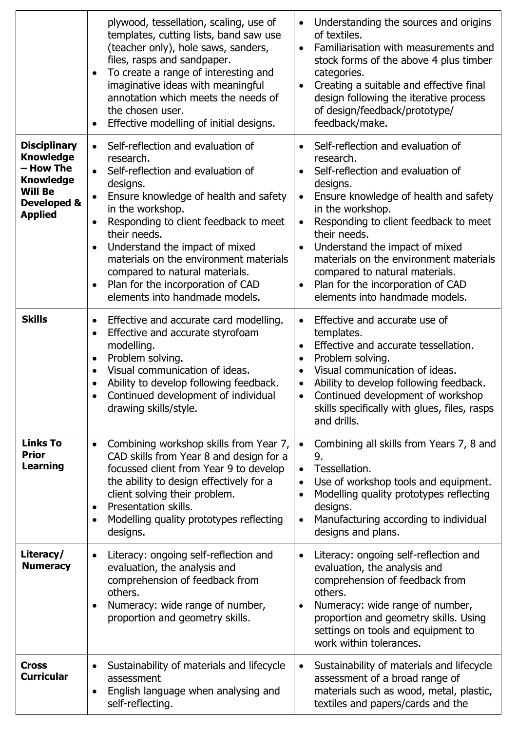|                                                                                                                             | plywood, tessellation, scaling, use of<br>templates, cutting lists, band saw use<br>(teacher only), hole saws, sanders,<br>files, rasps and sandpaper.<br>To create a range of interesting and<br>$\bullet$<br>imaginative ideas with meaningful<br>annotation which meets the needs of<br>the chosen user.<br>Effective modelling of initial designs.                                                                                                                      | Understanding the sources and origins<br>$\bullet$<br>of textiles.<br>Familiarisation with measurements and<br>$\bullet$<br>stock forms of the above 4 plus timber<br>categories.<br>Creating a suitable and effective final<br>$\bullet$<br>design following the iterative process<br>of design/feedback/prototype/<br>feedback/make.                                                                                                                                      |
|-----------------------------------------------------------------------------------------------------------------------------|-----------------------------------------------------------------------------------------------------------------------------------------------------------------------------------------------------------------------------------------------------------------------------------------------------------------------------------------------------------------------------------------------------------------------------------------------------------------------------|-----------------------------------------------------------------------------------------------------------------------------------------------------------------------------------------------------------------------------------------------------------------------------------------------------------------------------------------------------------------------------------------------------------------------------------------------------------------------------|
| <b>Disciplinary</b><br><b>Knowledge</b><br>- How The<br><b>Knowledge</b><br><b>Will Be</b><br>Developed &<br><b>Applied</b> | Self-reflection and evaluation of<br>$\bullet$<br>research.<br>Self-reflection and evaluation of<br>designs.<br>Ensure knowledge of health and safety<br>$\bullet$<br>in the workshop.<br>Responding to client feedback to meet<br>$\bullet$<br>their needs.<br>Understand the impact of mixed<br>$\bullet$<br>materials on the environment materials<br>compared to natural materials.<br>Plan for the incorporation of CAD<br>$\bullet$<br>elements into handmade models. | Self-reflection and evaluation of<br>$\bullet$<br>research.<br>Self-reflection and evaluation of<br>$\bullet$<br>designs.<br>Ensure knowledge of health and safety<br>$\bullet$<br>in the workshop.<br>Responding to client feedback to meet<br>$\bullet$<br>their needs.<br>Understand the impact of mixed<br>$\bullet$<br>materials on the environment materials<br>compared to natural materials.<br>Plan for the incorporation of CAD<br>elements into handmade models. |
| <b>Skills</b>                                                                                                               | Effective and accurate card modelling.<br>$\bullet$<br>Effective and accurate styrofoam<br>$\bullet$<br>modelling.<br>Problem solving.<br>$\bullet$<br>Visual communication of ideas.<br>$\bullet$<br>Ability to develop following feedback.<br>Continued development of individual<br>drawing skills/style.                                                                                                                                                                | Effective and accurate use of<br>templates.<br>Effective and accurate tessellation.<br>$\bullet$<br>Problem solving.<br>$\bullet$<br>Visual communication of ideas.<br>$\bullet$<br>Ability to develop following feedback.<br>$\bullet$<br>Continued development of workshop<br>skills specifically with glues, files, rasps<br>and drills.                                                                                                                                 |
| <b>Links To</b><br><b>Prior</b><br><b>Learning</b>                                                                          | Combining workshop skills from Year 7,<br>$\bullet$<br>CAD skills from Year 8 and design for a<br>focussed client from Year 9 to develop<br>the ability to design effectively for a<br>client solving their problem.<br>Presentation skills.<br>٠<br>Modelling quality prototypes reflecting<br>$\bullet$<br>designs.                                                                                                                                                       | Combining all skills from Years 7, 8 and<br>$\bullet$<br>9.<br>Tessellation.<br>$\bullet$<br>Use of workshop tools and equipment.<br>$\bullet$<br>Modelling quality prototypes reflecting<br>$\bullet$<br>designs.<br>Manufacturing according to individual<br>$\bullet$<br>designs and plans.                                                                                                                                                                              |
| Literacy/<br><b>Numeracy</b>                                                                                                | Literacy: ongoing self-reflection and<br>$\bullet$<br>evaluation, the analysis and<br>comprehension of feedback from<br>others.<br>Numeracy: wide range of number,<br>$\bullet$<br>proportion and geometry skills.                                                                                                                                                                                                                                                          | Literacy: ongoing self-reflection and<br>$\bullet$<br>evaluation, the analysis and<br>comprehension of feedback from<br>others.<br>Numeracy: wide range of number,<br>$\bullet$<br>proportion and geometry skills. Using<br>settings on tools and equipment to<br>work within tolerances.                                                                                                                                                                                   |
| <b>Cross</b><br><b>Curricular</b>                                                                                           | Sustainability of materials and lifecycle<br>assessment<br>English language when analysing and<br>$\bullet$<br>self-reflecting.                                                                                                                                                                                                                                                                                                                                             | Sustainability of materials and lifecycle<br>$\bullet$<br>assessment of a broad range of<br>materials such as wood, metal, plastic,<br>textiles and papers/cards and the                                                                                                                                                                                                                                                                                                    |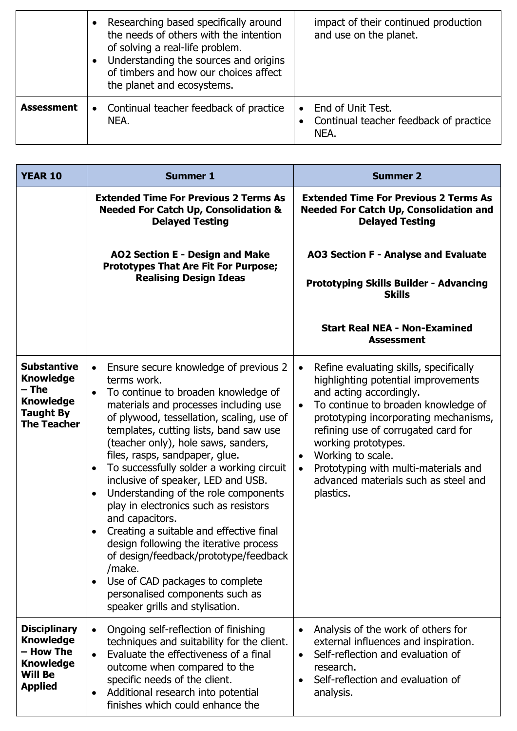|                   | $\bullet$ | Researching based specifically around<br>the needs of others with the intention<br>of solving a real-life problem.<br>Understanding the sources and origins<br>of timbers and how our choices affect<br>the planet and ecosystems. | impact of their continued production<br>and use on the planet.      |
|-------------------|-----------|------------------------------------------------------------------------------------------------------------------------------------------------------------------------------------------------------------------------------------|---------------------------------------------------------------------|
| <b>Assessment</b> | $\bullet$ | Continual teacher feedback of practice<br>NEA.                                                                                                                                                                                     | End of Unit Test.<br>Continual teacher feedback of practice<br>NEA. |

| <b>YEAR 10</b>                                                                                                | <b>Summer 1</b>                                                                                                                                                                                                                                                                                                                                                                                                                                                                                                                                                                                                                                                                                                                                                                                                   | <b>Summer 2</b>                                                                                                                                                                                                                                                                                                                                                                                                              |
|---------------------------------------------------------------------------------------------------------------|-------------------------------------------------------------------------------------------------------------------------------------------------------------------------------------------------------------------------------------------------------------------------------------------------------------------------------------------------------------------------------------------------------------------------------------------------------------------------------------------------------------------------------------------------------------------------------------------------------------------------------------------------------------------------------------------------------------------------------------------------------------------------------------------------------------------|------------------------------------------------------------------------------------------------------------------------------------------------------------------------------------------------------------------------------------------------------------------------------------------------------------------------------------------------------------------------------------------------------------------------------|
|                                                                                                               | <b>Extended Time For Previous 2 Terms As</b><br><b>Needed For Catch Up, Consolidation &amp;</b><br><b>Delayed Testing</b>                                                                                                                                                                                                                                                                                                                                                                                                                                                                                                                                                                                                                                                                                         | <b>Extended Time For Previous 2 Terms As</b><br><b>Needed For Catch Up, Consolidation and</b><br><b>Delayed Testing</b>                                                                                                                                                                                                                                                                                                      |
|                                                                                                               | AO2 Section E - Design and Make<br><b>Prototypes That Are Fit For Purpose;</b><br><b>Realising Design Ideas</b>                                                                                                                                                                                                                                                                                                                                                                                                                                                                                                                                                                                                                                                                                                   | AO3 Section F - Analyse and Evaluate<br><b>Prototyping Skills Builder - Advancing</b><br><b>Skills</b><br><b>Start Real NEA - Non-Examined</b><br><b>Assessment</b>                                                                                                                                                                                                                                                          |
| <b>Substantive</b><br><b>Knowledge</b><br>– The<br><b>Knowledge</b><br><b>Taught By</b><br><b>The Teacher</b> | Ensure secure knowledge of previous 2<br>$\bullet$<br>terms work.<br>To continue to broaden knowledge of<br>$\bullet$<br>materials and processes including use<br>of plywood, tessellation, scaling, use of<br>templates, cutting lists, band saw use<br>(teacher only), hole saws, sanders,<br>files, rasps, sandpaper, glue.<br>To successfully solder a working circuit<br>$\bullet$<br>inclusive of speaker, LED and USB.<br>Understanding of the role components<br>$\bullet$<br>play in electronics such as resistors<br>and capacitors.<br>Creating a suitable and effective final<br>$\bullet$<br>design following the iterative process<br>of design/feedback/prototype/feedback<br>/make.<br>Use of CAD packages to complete<br>٠<br>personalised components such as<br>speaker grills and stylisation. | Refine evaluating skills, specifically<br>$\bullet$<br>highlighting potential improvements<br>and acting accordingly.<br>To continue to broaden knowledge of<br>$\bullet$<br>prototyping incorporating mechanisms,<br>refining use of corrugated card for<br>working prototypes.<br>Working to scale.<br>$\bullet$<br>Prototyping with multi-materials and<br>$\bullet$<br>advanced materials such as steel and<br>plastics. |
| <b>Disciplinary</b><br><b>Knowledge</b><br>- How The<br><b>Knowledge</b><br><b>Will Be</b><br><b>Applied</b>  | Ongoing self-reflection of finishing<br>$\bullet$<br>techniques and suitability for the client.<br>Evaluate the effectiveness of a final<br>$\bullet$<br>outcome when compared to the<br>specific needs of the client.<br>Additional research into potential<br>finishes which could enhance the                                                                                                                                                                                                                                                                                                                                                                                                                                                                                                                  | Analysis of the work of others for<br>external influences and inspiration.<br>Self-reflection and evaluation of<br>$\bullet$<br>research.<br>Self-reflection and evaluation of<br>$\bullet$<br>analysis.                                                                                                                                                                                                                     |